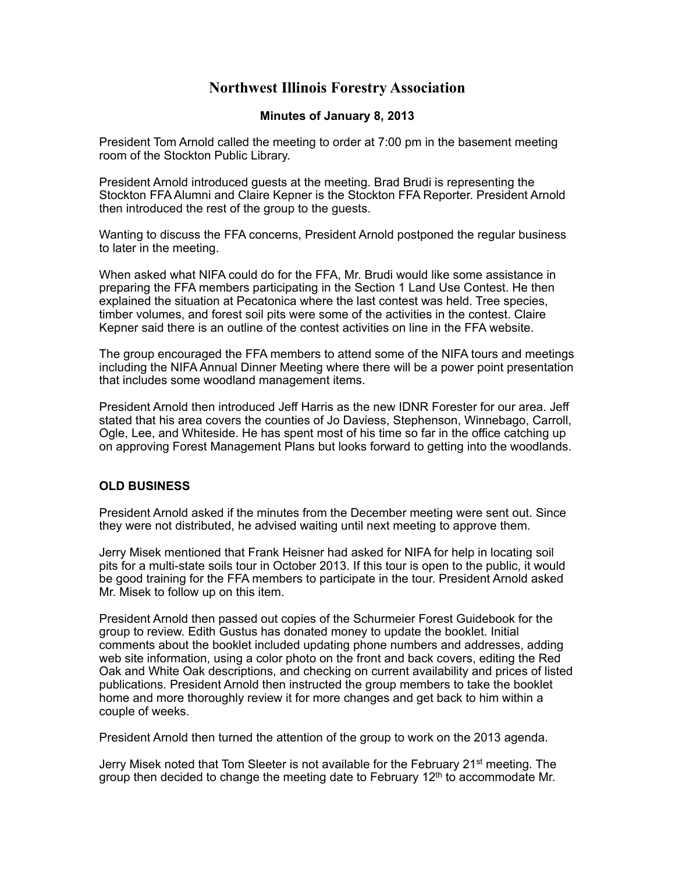# **Northwest Illinois Forestry Association**

## **Minutes of January 8, 2013**

President Tom Arnold called the meeting to order at 7:00 pm in the basement meeting room of the Stockton Public Library.

President Arnold introduced guests at the meeting. Brad Brudi is representing the Stockton FFA Alumni and Claire Kepner is the Stockton FFA Reporter. President Arnold then introduced the rest of the group to the guests.

Wanting to discuss the FFA concerns, President Arnold postponed the regular business to later in the meeting.

When asked what NIFA could do for the FFA, Mr. Brudi would like some assistance in preparing the FFA members participating in the Section 1 Land Use Contest. He then explained the situation at Pecatonica where the last contest was held. Tree species, timber volumes, and forest soil pits were some of the activities in the contest. Claire Kepner said there is an outline of the contest activities on line in the FFA website.

The group encouraged the FFA members to attend some of the NIFA tours and meetings including the NIFA Annual Dinner Meeting where there will be a power point presentation that includes some woodland management items.

President Arnold then introduced Jeff Harris as the new IDNR Forester for our area. Jeff stated that his area covers the counties of Jo Daviess, Stephenson, Winnebago, Carroll, Ogle, Lee, and Whiteside. He has spent most of his time so far in the office catching up on approving Forest Management Plans but looks forward to getting into the woodlands.

### **OLD BUSINESS**

President Arnold asked if the minutes from the December meeting were sent out. Since they were not distributed, he advised waiting until next meeting to approve them.

Jerry Misek mentioned that Frank Heisner had asked for NIFA for help in locating soil pits for a multi-state soils tour in October 2013. If this tour is open to the public, it would be good training for the FFA members to participate in the tour. President Arnold asked Mr. Misek to follow up on this item.

President Arnold then passed out copies of the Schurmeier Forest Guidebook for the group to review. Edith Gustus has donated money to update the booklet. Initial comments about the booklet included updating phone numbers and addresses, adding web site information, using a color photo on the front and back covers, editing the Red Oak and White Oak descriptions, and checking on current availability and prices of listed publications. President Arnold then instructed the group members to take the booklet home and more thoroughly review it for more changes and get back to him within a couple of weeks.

President Arnold then turned the attention of the group to work on the 2013 agenda.

Jerry Misek noted that Tom Sleeter is not available for the February 21<sup>st</sup> meeting. The group then decided to change the meeting date to February  $12<sup>th</sup>$  to accommodate Mr.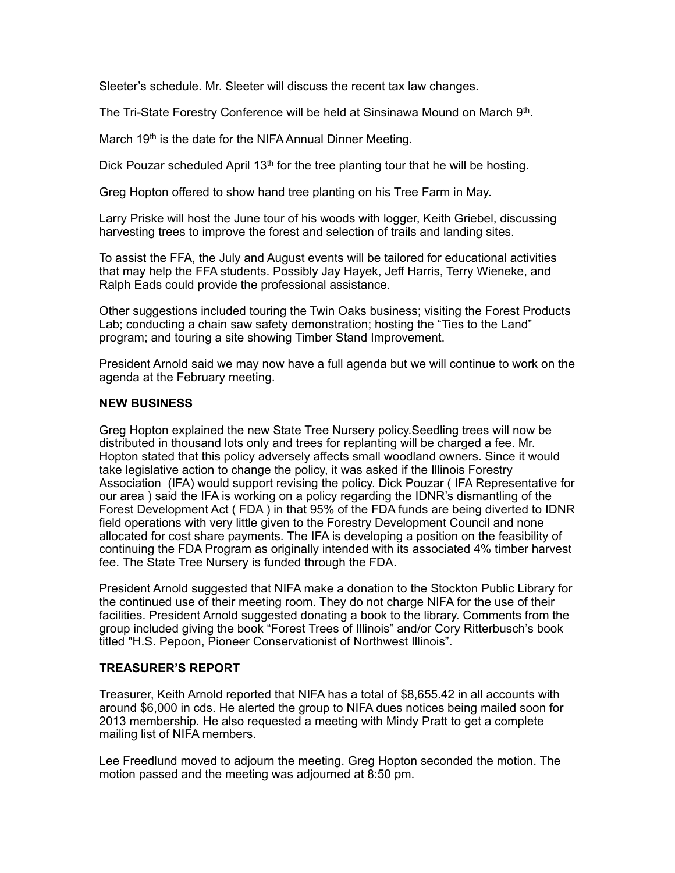Sleeter's schedule. Mr. Sleeter will discuss the recent tax law changes.

The Tri-State Forestry Conference will be held at Sinsinawa Mound on March 9th.

March 19<sup>th</sup> is the date for the NIFA Annual Dinner Meeting.

Dick Pouzar scheduled April 13<sup>th</sup> for the tree planting tour that he will be hosting.

Greg Hopton offered to show hand tree planting on his Tree Farm in May.

Larry Priske will host the June tour of his woods with logger, Keith Griebel, discussing harvesting trees to improve the forest and selection of trails and landing sites.

To assist the FFA, the July and August events will be tailored for educational activities that may help the FFA students. Possibly Jay Hayek, Jeff Harris, Terry Wieneke, and Ralph Eads could provide the professional assistance.

Other suggestions included touring the Twin Oaks business; visiting the Forest Products Lab; conducting a chain saw safety demonstration; hosting the "Ties to the Land" program; and touring a site showing Timber Stand Improvement.

President Arnold said we may now have a full agenda but we will continue to work on the agenda at the February meeting.

#### **NEW BUSINESS**

Greg Hopton explained the new State Tree Nursery policy.Seedling trees will now be distributed in thousand lots only and trees for replanting will be charged a fee. Mr. Hopton stated that this policy adversely affects small woodland owners. Since it would take legislative action to change the policy, it was asked if the Illinois Forestry Association (IFA) would support revising the policy. Dick Pouzar ( IFA Representative for our area ) said the IFA is working on a policy regarding the IDNR's dismantling of the Forest Development Act ( FDA ) in that 95% of the FDA funds are being diverted to IDNR field operations with very little given to the Forestry Development Council and none allocated for cost share payments. The IFA is developing a position on the feasibility of continuing the FDA Program as originally intended with its associated 4% timber harvest fee. The State Tree Nursery is funded through the FDA.

President Arnold suggested that NIFA make a donation to the Stockton Public Library for the continued use of their meeting room. They do not charge NIFA for the use of their facilities. President Arnold suggested donating a book to the library. Comments from the group included giving the book "Forest Trees of Illinois" and/or Cory Ritterbusch's book titled "H.S. Pepoon, Pioneer Conservationist of Northwest Illinois".

### **TREASURER'S REPORT**

Treasurer, Keith Arnold reported that NIFA has a total of \$8,655.42 in all accounts with around \$6,000 in cds. He alerted the group to NIFA dues notices being mailed soon for 2013 membership. He also requested a meeting with Mindy Pratt to get a complete mailing list of NIFA members.

Lee Freedlund moved to adjourn the meeting. Greg Hopton seconded the motion. The motion passed and the meeting was adjourned at 8:50 pm.